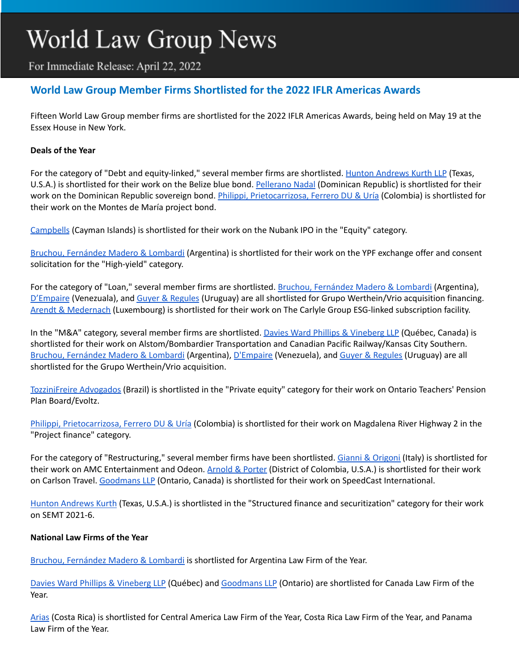# World Law Group News

For Immediate Release: April 22, 2022

## **World Law Group Member Firms Shortlisted for the 2022 IFLR Americas Awards**

Fifteen World Law Group member firms are shortlisted for the 2022 IFLR Americas Awards, being held on May 19 at the Essex House in New York.

#### **Deals of the Year**

For the category of "Debt and equity-linked," several member firms are shortlisted. Hunton [Andrews](https://www.theworldlawgroup.com/member-firms/hunton-andrews-kurth) Kurth LLP (Texas, U.S.A.) is shortlisted for their work on the Belize blue bond. [Pellerano](https://www.theworldlawgroup.com/member-firms/pellerano-nadal) Nadal (Dominican Republic) is shortlisted for their work on the Dominican Republic sovereign bond. Philippi, [Prietocarrizosa,](https://www.theworldlawgroup.com/member-firms/philippi-prietocarrizosa-ur%C3%ADa) Ferrero DU & Uría (Colombia) is shortlisted for their work on the Montes de María project bond.

[Campbells](https://www.theworldlawgroup.com/member-firms/campbells) (Cayman Islands) is shortlisted for their work on the Nubank IPO in the "Equity" category.

Bruchou, [Fernández](https://www.theworldlawgroup.com/member-firms/bruchou-fern%C3%A1ndez-madero-lombardi-abogados) Madero & Lombardi (Argentina) is shortlisted for their work on the YPF exchange offer and consent solicitation for the "High-yield" category.

For the category of "Loan," several member firms are shortlisted. Bruchou, [Fernández](https://www.theworldlawgroup.com/member-firms/bruchou-fern%C3%A1ndez-madero-lombardi-abogados) Madero & Lombardi (Argentina), [D'Empaire](https://www.theworldlawgroup.com/member-firms/dempaire) (Venezuala), and Guyer & [Regules](https://www.theworldlawgroup.com/member-firms/guyer-regules) (Uruguay) are all shortlisted for Grupo Werthein/Vrio acquisition financing. Arendt & [Medernach](https://www.theworldlawgroup.com/member-firms/arendt-medernach) (Luxembourg) is shortlisted for their work on The Carlyle Group ESG-linked subscription facility.

In the "M&A" category, several member firms are shortlisted. Davies Ward Phillips & [Vineberg](https://www.theworldlawgroup.com/member-firms/davies-ward-phillips-vineberg-llp) LLP (Québec, Canada) is shortlisted for their work on Alstom/Bombardier Transportation and Canadian Pacific Railway/Kansas City Southern. Bruchou, [Fernández](https://www.theworldlawgroup.com/member-firms/bruchou-fern%C3%A1ndez-madero-lombardi-abogados) Madero & Lombardi (Argentina), [D'Empaire](https://www.theworldlawgroup.com/member-firms/dempaire) (Venezuela), and Guyer & [Regules](https://www.theworldlawgroup.com/member-firms/guyer-regules) (Uruguay) are all shortlisted for the Grupo Werthein/Vrio acquisition.

[TozziniFreire](https://www.theworldlawgroup.com/member-firms/tozzinifreire-advogados) Advogados (Brazil) is shortlisted in the "Private equity" category for their work on Ontario Teachers' Pension Plan Board/Evoltz.

Philippi, [Prietocarrizosa,](https://www.theworldlawgroup.com/member-firms/philippi-prietocarrizosa-ur%C3%ADa) Ferrero DU & Uría (Colombia) is shortlisted for their work on Magdalena River Highway 2 in the "Project finance" category.

For the category of "Restructuring," several member firms have been shortlisted. Gianni & [Origoni](https://www.theworldlawgroup.com/member-firms/gianni-origoni-grippo-cappelli-partners) (Italy) is shortlisted for their work on AMC Entertainment and Odeon. [Arnold](https://www.theworldlawgroup.com/member-firms/arnold-porter) & Porter (District of Colombia, U.S.A.) is shortlisted for their work on Carlson Travel. [Goodmans](https://www.theworldlawgroup.com/member-firms/goodmans-llp) LLP (Ontario, Canada) is shortlisted for their work on SpeedCast International.

Hunton [Andrews](https://www.theworldlawgroup.com/member-firms/hunton-andrews-kurth) Kurth (Texas, U.S.A.) is shortlisted in the "Structured finance and securitization" category for their work on SEMT 2021-6.

#### **National Law Firms of the Year**

Bruchou, [Fernández](https://www.theworldlawgroup.com/member-firms/bruchou-fern%C3%A1ndez-madero-lombardi-abogados) Madero & Lombardi is shortlisted for Argentina Law Firm of the Year.

Davies Ward Phillips & [Vineberg](https://www.theworldlawgroup.com/member-firms/davies-ward-phillips-vineberg-llp) LLP (Québec) and [Goodmans](https://www.theworldlawgroup.com/member-firms/goodmans-llp) LLP (Ontario) are shortlisted for Canada Law Firm of the Year.

[Arias](https://www.theworldlawgroup.com/member-firms/arias) (Costa Rica) is shortlisted for Central America Law Firm of the Year, Costa Rica Law Firm of the Year, and Panama Law Firm of the Year.